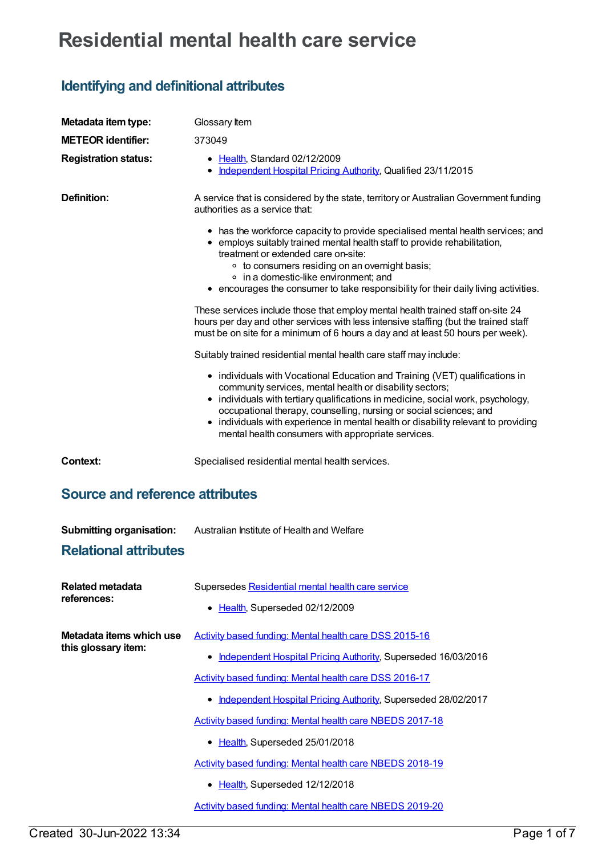## **Residential mental health care service**

## **Identifying and definitional attributes**

| Metadata item type:                             | Glossary Item                                                                                                                                                                                                                                                                                                                                                                                                                                  |
|-------------------------------------------------|------------------------------------------------------------------------------------------------------------------------------------------------------------------------------------------------------------------------------------------------------------------------------------------------------------------------------------------------------------------------------------------------------------------------------------------------|
| <b>METEOR identifier:</b>                       | 373049                                                                                                                                                                                                                                                                                                                                                                                                                                         |
| <b>Registration status:</b>                     | • Health, Standard 02/12/2009<br>• Independent Hospital Pricing Authority, Qualified 23/11/2015                                                                                                                                                                                                                                                                                                                                                |
| <b>Definition:</b>                              | A service that is considered by the state, territory or Australian Government funding<br>authorities as a service that:                                                                                                                                                                                                                                                                                                                        |
|                                                 | • has the workforce capacity to provide specialised mental health services; and<br>• employs suitably trained mental health staff to provide rehabilitation,<br>treatment or extended care on-site:                                                                                                                                                                                                                                            |
|                                                 | • to consumers residing on an overnight basis;<br>• in a domestic-like environment; and<br>• encourages the consumer to take responsibility for their daily living activities.                                                                                                                                                                                                                                                                 |
|                                                 | These services include those that employ mental health trained staff on-site 24<br>hours per day and other services with less intensive staffing (but the trained staff<br>must be on site for a minimum of 6 hours a day and at least 50 hours per week).                                                                                                                                                                                     |
|                                                 | Suitably trained residential mental health care staff may include:                                                                                                                                                                                                                                                                                                                                                                             |
|                                                 | • individuals with Vocational Education and Training (VET) qualifications in<br>community services, mental health or disability sectors;<br>• individuals with tertiary qualifications in medicine, social work, psychology,<br>occupational therapy, counselling, nursing or social sciences; and<br>• individuals with experience in mental health or disability relevant to providing<br>mental health consumers with appropriate services. |
| <b>Context:</b>                                 | Specialised residential mental health services.                                                                                                                                                                                                                                                                                                                                                                                                |
| <b>Source and reference attributes</b>          |                                                                                                                                                                                                                                                                                                                                                                                                                                                |
| <b>Submitting organisation:</b>                 | Australian Institute of Health and Welfare                                                                                                                                                                                                                                                                                                                                                                                                     |
| <b>Relational attributes</b>                    |                                                                                                                                                                                                                                                                                                                                                                                                                                                |
| Related metadata<br>references:                 | Supersedes Residential mental health care service                                                                                                                                                                                                                                                                                                                                                                                              |
|                                                 | • Health, Superseded 02/12/2009                                                                                                                                                                                                                                                                                                                                                                                                                |
| Metadata items which use<br>this glossary item: | Activity based funding: Mental health care DSS 2015-16                                                                                                                                                                                                                                                                                                                                                                                         |
|                                                 | • Independent Hospital Pricing Authority, Superseded 16/03/2016                                                                                                                                                                                                                                                                                                                                                                                |
|                                                 | Activity based funding: Mental health care DSS 2016-17                                                                                                                                                                                                                                                                                                                                                                                         |
|                                                 | • Independent Hospital Pricing Authority, Superseded 28/02/2017                                                                                                                                                                                                                                                                                                                                                                                |
|                                                 | <b>Activity based funding: Mental health care NBEDS 2017-18</b>                                                                                                                                                                                                                                                                                                                                                                                |
|                                                 | • Health, Superseded 25/01/2018                                                                                                                                                                                                                                                                                                                                                                                                                |
|                                                 | Activity based funding: Mental health care NBEDS 2018-19                                                                                                                                                                                                                                                                                                                                                                                       |
|                                                 | • Health, Superseded 12/12/2018                                                                                                                                                                                                                                                                                                                                                                                                                |
|                                                 | <b>Activity based funding: Mental health care NBEDS 2019-20</b>                                                                                                                                                                                                                                                                                                                                                                                |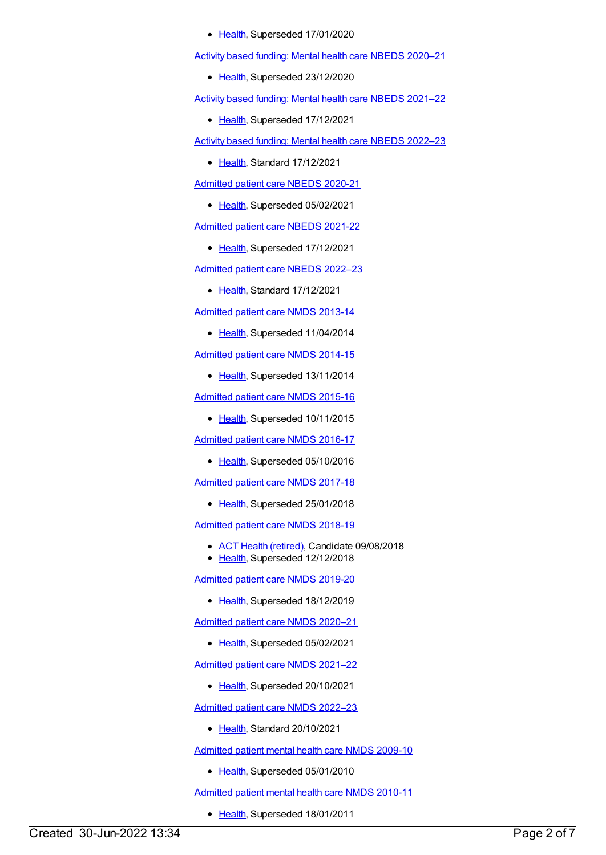• [Health](https://meteor.aihw.gov.au/RegistrationAuthority/12), Superseded 17/01/2020

Activity based funding: Mental health care NBEDS [2020–21](https://meteor.aihw.gov.au/content/715671)

• [Health](https://meteor.aihw.gov.au/RegistrationAuthority/12), Superseded 23/12/2020

Activity based funding: Mental health care NBEDS [2021–22](https://meteor.aihw.gov.au/content/735108)

• [Health](https://meteor.aihw.gov.au/RegistrationAuthority/12), Superseded 17/12/2021

Activity based funding: Mental health care NBEDS [2022–23](https://meteor.aihw.gov.au/content/742188)

• [Health](https://meteor.aihw.gov.au/RegistrationAuthority/12), Standard 17/12/2021

[Admitted](https://meteor.aihw.gov.au/content/715998) patient care NBEDS 2020-21

• [Health](https://meteor.aihw.gov.au/RegistrationAuthority/12), Superseded 05/02/2021

[Admitted](https://meteor.aihw.gov.au/content/728441) patient care NBEDS 2021-22

• [Health](https://meteor.aihw.gov.au/RegistrationAuthority/12), Superseded 17/12/2021

[Admitted](https://meteor.aihw.gov.au/content/742171) patient care NBEDS 2022–23

• [Health](https://meteor.aihw.gov.au/RegistrationAuthority/12), Standard 17/12/2021

[Admitted](https://meteor.aihw.gov.au/content/491555) patient care NMDS 2013-14

• [Health](https://meteor.aihw.gov.au/RegistrationAuthority/12), Superseded 11/04/2014

[Admitted](https://meteor.aihw.gov.au/content/535047) patient care NMDS 2014-15

• [Health](https://meteor.aihw.gov.au/RegistrationAuthority/12), Superseded 13/11/2014

[Admitted](https://meteor.aihw.gov.au/content/588909) patient care NMDS 2015-16

• [Health](https://meteor.aihw.gov.au/RegistrationAuthority/12), Superseded 10/11/2015

[Admitted](https://meteor.aihw.gov.au/content/612171) patient care NMDS 2016-17

• [Health](https://meteor.aihw.gov.au/RegistrationAuthority/12), Superseded 05/10/2016

[Admitted](https://meteor.aihw.gov.au/content/641349) patient care NMDS 2017-18

• [Health](https://meteor.aihw.gov.au/RegistrationAuthority/12), Superseded 25/01/2018

[Admitted](https://meteor.aihw.gov.au/content/676382) patient care NMDS 2018-19

- ACT Health [\(retired\)](https://meteor.aihw.gov.au/RegistrationAuthority/9), Candidate 09/08/2018
- [Health](https://meteor.aihw.gov.au/RegistrationAuthority/12), Superseded 12/12/2018

[Admitted](https://meteor.aihw.gov.au/content/699728) patient care NMDS 2019-20

• [Health](https://meteor.aihw.gov.au/RegistrationAuthority/12), Superseded 18/12/2019

[Admitted](https://meteor.aihw.gov.au/content/713850) patient care NMDS 2020–21

• [Health](https://meteor.aihw.gov.au/RegistrationAuthority/12), Superseded 05/02/2021

[Admitted](https://meteor.aihw.gov.au/content/728439) patient care NMDS 2021–22

• [Health](https://meteor.aihw.gov.au/RegistrationAuthority/12), Superseded 20/10/2021

[Admitted](https://meteor.aihw.gov.au/content/742173) patient care NMDS 2022–23

• [Health](https://meteor.aihw.gov.au/RegistrationAuthority/12), Standard 20/10/2021

[Admitted](https://meteor.aihw.gov.au/content/374207) patient mental health care NMDS 2009-10

• [Health](https://meteor.aihw.gov.au/RegistrationAuthority/12), Superseded 05/01/2010

[Admitted](https://meteor.aihw.gov.au/content/386799) patient mental health care NMDS 2010-11

• [Health](https://meteor.aihw.gov.au/RegistrationAuthority/12), Superseded 18/01/2011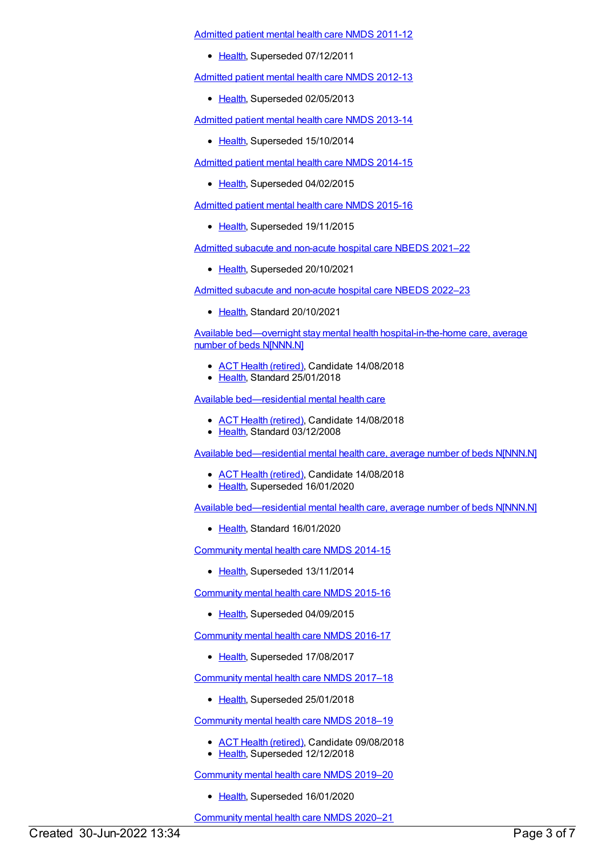[Admitted](https://meteor.aihw.gov.au/content/426872) patient mental health care NMDS 2011-12

• [Health](https://meteor.aihw.gov.au/RegistrationAuthority/12), Superseded 07/12/2011

[Admitted](https://meteor.aihw.gov.au/content/471383) patient mental health care NMDS 2012-13

• [Health](https://meteor.aihw.gov.au/RegistrationAuthority/12), Superseded 02/05/2013

[Admitted](https://meteor.aihw.gov.au/content/504646) patient mental health care NMDS 2013-14

• [Health](https://meteor.aihw.gov.au/RegistrationAuthority/12), Superseded 15/10/2014

[Admitted](https://meteor.aihw.gov.au/content/553164) patient mental health care NMDS 2014-15

• [Health](https://meteor.aihw.gov.au/RegistrationAuthority/12), Superseded 04/02/2015

[Admitted](https://meteor.aihw.gov.au/content/590510) patient mental health care NMDS 2015-16

• [Health](https://meteor.aihw.gov.au/RegistrationAuthority/12), Superseded 19/11/2015

Admitted subacute and [non-acute](https://meteor.aihw.gov.au/content/727327) hospital care NBEDS 2021–22

• [Health](https://meteor.aihw.gov.au/RegistrationAuthority/12), Superseded 20/10/2021

Admitted subacute and [non-acute](https://meteor.aihw.gov.au/content/742177) hospital care NBEDS 2022–23

• [Health](https://meteor.aihw.gov.au/RegistrationAuthority/12), Standard 20/10/2021

Available bed—overnight stay mental health [hospital-in-the-home](https://meteor.aihw.gov.au/content/646853) care, average number of beds N[NNN.N]

- ACT Health [\(retired\)](https://meteor.aihw.gov.au/RegistrationAuthority/9), Candidate 14/08/2018
- [Health](https://meteor.aihw.gov.au/RegistrationAuthority/12), Standard 25/01/2018

Available [bed—residential](https://meteor.aihw.gov.au/content/373647) mental health care

- ACT Health [\(retired\)](https://meteor.aihw.gov.au/RegistrationAuthority/9), Candidate 14/08/2018
- [Health](https://meteor.aihw.gov.au/RegistrationAuthority/12), Standard 03/12/2008

Available [bed—residential](https://meteor.aihw.gov.au/content/373650) mental health care, average number of beds N[NNN.N]

- ACT Health [\(retired\)](https://meteor.aihw.gov.au/RegistrationAuthority/9), Candidate 14/08/2018
- [Health](https://meteor.aihw.gov.au/RegistrationAuthority/12), Superseded 16/01/2020

Available [bed—residential](https://meteor.aihw.gov.au/content/717123) mental health care, average number of beds N[NNN.N]

• [Health](https://meteor.aihw.gov.au/RegistrationAuthority/12), Standard 16/01/2020

[Community](https://meteor.aihw.gov.au/content/549878) mental health care NMDS 2014-15

• [Health](https://meteor.aihw.gov.au/RegistrationAuthority/12), Superseded 13/11/2014

[Community](https://meteor.aihw.gov.au/content/565694) mental health care NMDS 2015-16

• [Health](https://meteor.aihw.gov.au/RegistrationAuthority/12), Superseded 04/09/2015

[Community](https://meteor.aihw.gov.au/content/608534) mental health care NMDS 2016-17

• [Health](https://meteor.aihw.gov.au/RegistrationAuthority/12), Superseded 17/08/2017

[Community](https://meteor.aihw.gov.au/content/645692) mental health care NMDS 2017–18

[Health](https://meteor.aihw.gov.au/RegistrationAuthority/12), Superseded 25/01/2018

[Community](https://meteor.aihw.gov.au/content/677802) mental health care NMDS 2018–19

- ACT Health [\(retired\)](https://meteor.aihw.gov.au/RegistrationAuthority/9), Candidate 09/08/2018
- [Health](https://meteor.aihw.gov.au/RegistrationAuthority/12), Superseded 12/12/2018

[Community](https://meteor.aihw.gov.au/content/699975) mental health care NMDS 2019–20

• [Health](https://meteor.aihw.gov.au/RegistrationAuthority/12), Superseded 16/01/2020

[Community](https://meteor.aihw.gov.au/content/722221) mental health care NMDS 2020–21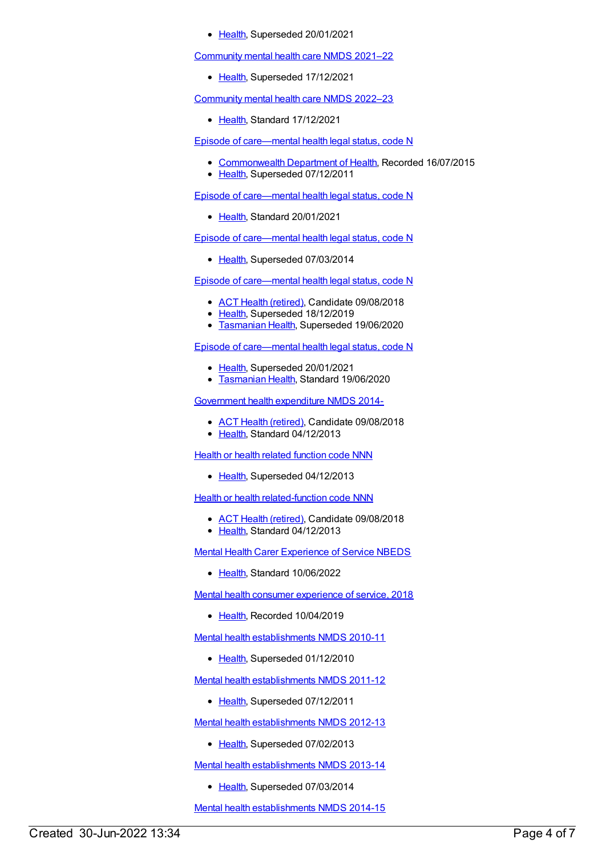• [Health](https://meteor.aihw.gov.au/RegistrationAuthority/12), Superseded 20/01/2021

[Community](https://meteor.aihw.gov.au/content/727348) mental health care NMDS 2021–22

• [Health](https://meteor.aihw.gov.au/RegistrationAuthority/12), Superseded 17/12/2021

[Community](https://meteor.aihw.gov.au/content/742040) mental health care NMDS 2022–23

• [Health](https://meteor.aihw.gov.au/RegistrationAuthority/12), Standard 17/12/2021

Episode of [care—mental](https://meteor.aihw.gov.au/content/270351) health legal status, code N

- [Commonwealth](https://meteor.aihw.gov.au/RegistrationAuthority/10) Department of Health, Recorded 16/07/2015
- [Health](https://meteor.aihw.gov.au/RegistrationAuthority/12), Superseded 07/12/2011

Episode of [care—mental](https://meteor.aihw.gov.au/content/727343) health legal status, code N

[Health](https://meteor.aihw.gov.au/RegistrationAuthority/12), Standard 20/01/2021

Episode of [care—mental](https://meteor.aihw.gov.au/content/459215) health legal status, code N

• [Health](https://meteor.aihw.gov.au/RegistrationAuthority/12), Superseded 07/03/2014

Episode of [care—mental](https://meteor.aihw.gov.au/content/534063) health legal status, code N

- ACT Health [\(retired\)](https://meteor.aihw.gov.au/RegistrationAuthority/9), Candidate 09/08/2018
- [Health](https://meteor.aihw.gov.au/RegistrationAuthority/12), Superseded 18/12/2019
- **[Tasmanian](https://meteor.aihw.gov.au/RegistrationAuthority/15) Health, Superseded 19/06/2020**

Episode of [care—mental](https://meteor.aihw.gov.au/content/722675) health legal status, code N

- [Health](https://meteor.aihw.gov.au/RegistrationAuthority/12), Superseded 20/01/2021
- **[Tasmanian](https://meteor.aihw.gov.au/RegistrationAuthority/15) Health, Standard 19/06/2020**

[Government](https://meteor.aihw.gov.au/content/540601) health expenditure NMDS 2014-

- ACT Health [\(retired\)](https://meteor.aihw.gov.au/RegistrationAuthority/9), Candidate 09/08/2018
- [Health](https://meteor.aihw.gov.au/RegistrationAuthority/12), Standard 04/12/2013

**Health or health related [function](https://meteor.aihw.gov.au/content/352162) code NNN** 

• [Health](https://meteor.aihw.gov.au/RegistrationAuthority/12), Superseded 04/12/2013

**Health or health [related-function](https://meteor.aihw.gov.au/content/533043) code NNN** 

- ACT Health [\(retired\)](https://meteor.aihw.gov.au/RegistrationAuthority/9), Candidate 09/08/2018
- [Health](https://meteor.aihw.gov.au/RegistrationAuthority/12), Standard 04/12/2013

Mental Health Carer [Experience](https://meteor.aihw.gov.au/content/745391) of Service NBEDS

• [Health](https://meteor.aihw.gov.au/RegistrationAuthority/12), Standard 10/06/2022

Mental health consumer [experience](https://meteor.aihw.gov.au/content/701058) of service, 2018

• [Health](https://meteor.aihw.gov.au/RegistrationAuthority/12), Recorded 10/04/2019

Mental health [establishments](https://meteor.aihw.gov.au/content/378611) NMDS 2010-11

• [Health](https://meteor.aihw.gov.au/RegistrationAuthority/12), Superseded 01/12/2010

Mental health [establishments](https://meteor.aihw.gov.au/content/424725) NMDS 2011-12

• [Health](https://meteor.aihw.gov.au/RegistrationAuthority/12), Superseded 07/12/2011

Mental health [establishments](https://meteor.aihw.gov.au/content/468195) NMDS 2012-13

• [Health](https://meteor.aihw.gov.au/RegistrationAuthority/12), Superseded 07/02/2013

Mental health [establishments](https://meteor.aihw.gov.au/content/493652) NMDS 2013-14

• [Health](https://meteor.aihw.gov.au/RegistrationAuthority/12), Superseded 07/03/2014

Mental health [establishments](https://meteor.aihw.gov.au/content/546889) NMDS 2014-15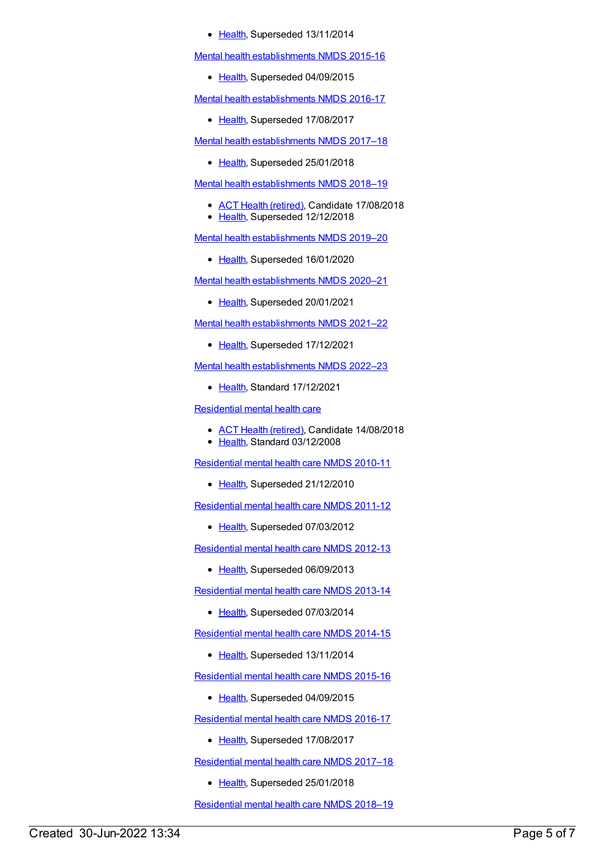## • [Health](https://meteor.aihw.gov.au/RegistrationAuthority/12), Superseded 13/11/2014

Mental health [establishments](https://meteor.aihw.gov.au/content/565661) NMDS 2015-16

• [Health](https://meteor.aihw.gov.au/RegistrationAuthority/12), Superseded 04/09/2015

Mental health [establishments](https://meteor.aihw.gov.au/content/605829) NMDS 2016-17

• [Health](https://meteor.aihw.gov.au/RegistrationAuthority/12), Superseded 17/08/2017

Mental health [establishments](https://meteor.aihw.gov.au/content/645723) NMDS 2017–18

• [Health](https://meteor.aihw.gov.au/RegistrationAuthority/12), Superseded 25/01/2018

Mental health [establishments](https://meteor.aihw.gov.au/content/677892) NMDS 2018–19

- ACT Health [\(retired\)](https://meteor.aihw.gov.au/RegistrationAuthority/9), Candidate 17/08/2018
- [Health](https://meteor.aihw.gov.au/RegistrationAuthority/12), Superseded 12/12/2018

Mental health [establishments](https://meteor.aihw.gov.au/content/707557) NMDS 2019–20

• [Health](https://meteor.aihw.gov.au/RegistrationAuthority/12), Superseded 16/01/2020

Mental health [establishments](https://meteor.aihw.gov.au/content/722168) NMDS 2020–21

• [Health](https://meteor.aihw.gov.au/RegistrationAuthority/12), Superseded 20/01/2021

Mental health [establishments](https://meteor.aihw.gov.au/content/727352) NMDS 2021–22

• [Health](https://meteor.aihw.gov.au/RegistrationAuthority/12), Superseded 17/12/2021

Mental health [establishments](https://meteor.aihw.gov.au/content/742046) NMDS 2022–23

● [Health](https://meteor.aihw.gov.au/RegistrationAuthority/12), Standard 17/12/2021

[Residential](https://meteor.aihw.gov.au/content/373645) mental health care

- ACT Health [\(retired\)](https://meteor.aihw.gov.au/RegistrationAuthority/9), Candidate 14/08/2018
- [Health](https://meteor.aihw.gov.au/RegistrationAuthority/12), Standard 03/12/2008

[Residential](https://meteor.aihw.gov.au/content/386809) mental health care NMDS 2010-11

• [Health](https://meteor.aihw.gov.au/RegistrationAuthority/12), Superseded 21/12/2010

[Residential](https://meteor.aihw.gov.au/content/426754) mental health care NMDS 2011-12

• [Health](https://meteor.aihw.gov.au/RegistrationAuthority/12), Superseded 07/03/2012

[Residential](https://meteor.aihw.gov.au/content/468206) mental health care NMDS 2012-13

• [Health](https://meteor.aihw.gov.au/RegistrationAuthority/12), Superseded 06/09/2013

[Residential](https://meteor.aihw.gov.au/content/539453) mental health care NMDS 2013-14

• [Health](https://meteor.aihw.gov.au/RegistrationAuthority/12), Superseded 07/03/2014

[Residential](https://meteor.aihw.gov.au/content/525052) mental health care NMDS 2014-15

• [Health](https://meteor.aihw.gov.au/RegistrationAuthority/12), Superseded 13/11/2014

[Residential](https://meteor.aihw.gov.au/content/565678) mental health care NMDS 2015-16

• [Health](https://meteor.aihw.gov.au/RegistrationAuthority/12), Superseded 04/09/2015

[Residential](https://meteor.aihw.gov.au/content/608539) mental health care NMDS 2016-17

• [Health](https://meteor.aihw.gov.au/RegistrationAuthority/12), Superseded 17/08/2017

[Residential](https://meteor.aihw.gov.au/content/645718) mental health care NMDS 2017–18

• [Health](https://meteor.aihw.gov.au/RegistrationAuthority/12), Superseded 25/01/2018

[Residential](https://meteor.aihw.gov.au/content/685927) mental health care NMDS 2018–19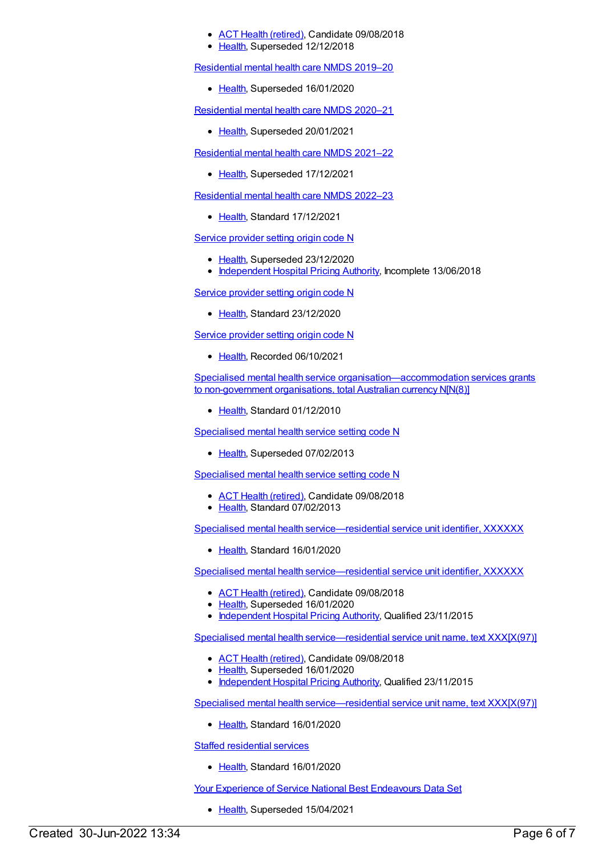## ACT Health [\(retired\)](https://meteor.aihw.gov.au/RegistrationAuthority/9), Candidate 09/08/2018

[Health](https://meteor.aihw.gov.au/RegistrationAuthority/12), Superseded 12/12/2018

[Residential](https://meteor.aihw.gov.au/content/707512) mental health care NMDS 2019–20

• [Health](https://meteor.aihw.gov.au/RegistrationAuthority/12), Superseded 16/01/2020

[Residential](https://meteor.aihw.gov.au/content/722224) mental health care NMDS 2020–21

• [Health](https://meteor.aihw.gov.au/RegistrationAuthority/12), Superseded 20/01/2021

[Residential](https://meteor.aihw.gov.au/content/727354) mental health care NMDS 2021–22

• [Health](https://meteor.aihw.gov.au/RegistrationAuthority/12), Superseded 17/12/2021

[Residential](https://meteor.aihw.gov.au/content/742165) mental health care NMDS 2022–23

[Health](https://meteor.aihw.gov.au/RegistrationAuthority/12), Standard 17/12/2021

Service [provider](https://meteor.aihw.gov.au/content/699127) setting origin code N

- [Health](https://meteor.aihw.gov.au/RegistrationAuthority/12), Superseded 23/12/2020
- [Independent](https://meteor.aihw.gov.au/RegistrationAuthority/3) Hospital Pricing Authority, Incomplete 13/06/2018

Service [provider](https://meteor.aihw.gov.au/content/730820) setting origin code N

• [Health](https://meteor.aihw.gov.au/RegistrationAuthority/12), Standard 23/12/2020

Service [provider](https://meteor.aihw.gov.au/content/747303) setting origin code N

• [Health](https://meteor.aihw.gov.au/RegistrationAuthority/12), Recorded 06/10/2021

Specialised mental health service [organisation—accommodation](https://meteor.aihw.gov.au/content/398477) services grants to non-government organisations, total Australian currency N[N(8)]

• [Health](https://meteor.aihw.gov.au/RegistrationAuthority/12), Standard 01/12/2010

[Specialised](https://meteor.aihw.gov.au/content/288897) mental health service setting code N

• [Health](https://meteor.aihw.gov.au/RegistrationAuthority/12), Superseded 07/02/2013

[Specialised](https://meteor.aihw.gov.au/content/493341) mental health service setting code N

- ACT Health [\(retired\)](https://meteor.aihw.gov.au/RegistrationAuthority/9), Candidate 09/08/2018
- [Health](https://meteor.aihw.gov.au/RegistrationAuthority/12), Standard 07/02/2013

Specialised mental health [service—residential](https://meteor.aihw.gov.au/content/722711) service unit identifier, XXXXXX

• [Health](https://meteor.aihw.gov.au/RegistrationAuthority/12), Standard 16/01/2020

Specialised mental health [service—residential](https://meteor.aihw.gov.au/content/404837) service unit identifier, XXXXXX

- ACT Health [\(retired\)](https://meteor.aihw.gov.au/RegistrationAuthority/9), Candidate 09/08/2018
- [Health](https://meteor.aihw.gov.au/RegistrationAuthority/12), Superseded 16/01/2020
- [Independent](https://meteor.aihw.gov.au/RegistrationAuthority/3) Hospital Pricing Authority, Qualified 23/11/2015

Specialised mental health [service—residential](https://meteor.aihw.gov.au/content/407496) service unit name, text XXX[X(97)]

- ACT Health [\(retired\)](https://meteor.aihw.gov.au/RegistrationAuthority/9), Candidate 09/08/2018
- [Health](https://meteor.aihw.gov.au/RegistrationAuthority/12), Superseded 16/01/2020
- [Independent](https://meteor.aihw.gov.au/RegistrationAuthority/3) Hospital Pricing Authority, Qualified 23/11/2015

Specialised mental health [service—residential](https://meteor.aihw.gov.au/content/722715) service unit name, text XXX[X(97)]

• [Health](https://meteor.aihw.gov.au/RegistrationAuthority/12), Standard 16/01/2020

Staffed [residential](https://meteor.aihw.gov.au/content/721761) services

• [Health](https://meteor.aihw.gov.au/RegistrationAuthority/12), Standard 16/01/2020

Your Experience of Service National Best [Endeavours](https://meteor.aihw.gov.au/content/635068) Data Set

• [Health](https://meteor.aihw.gov.au/RegistrationAuthority/12), Superseded 15/04/2021